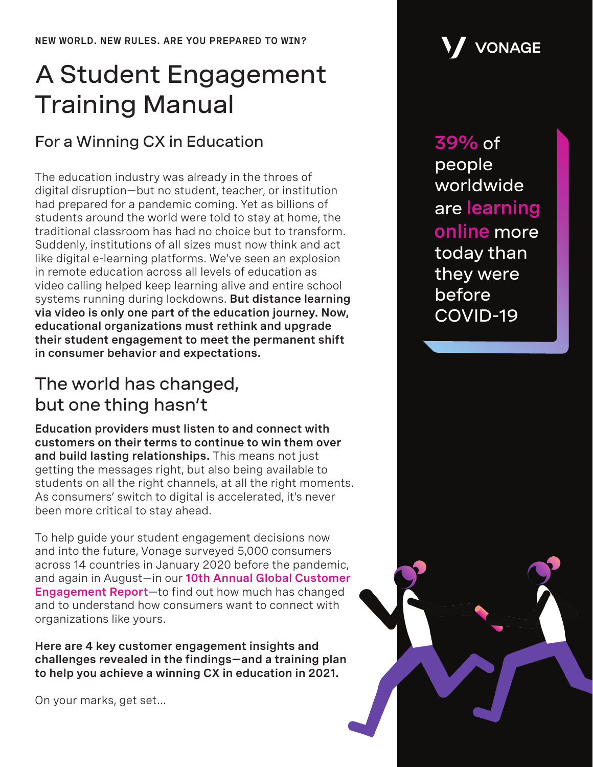# A Student Engagement Training Manual

## For a Winning CX in Education

The education industry was already in the throes of digital disruption—but no student, teacher, or institution had prepared for a pandemic coming. Yet as billions of students around the world were told to stay at home, the traditional classroom has had no choice but to transform. Suddenly, institutions of all sizes must now think and act like digital e-learning platforms. We've seen an explosion in remote education across all levels of education as video calling helped keep learning alive and entire school systems running during lockdowns. **But distance learning via video is only one part of the education journey. Now, educational organizations must rethink and upgrade their student engagement to meet the permanent shift in consumer behavior and expectations.**

## The world has changed, but one thing hasn't

**Education providers must listen to and connect with customers on their terms to continue to win them over and build lasting relationships.** This means not just getting the messages right, but also being available to students on all the right channels, at all the right moments. As consumers' switch to digital is accelerated, it's never been more critical to stay ahead.

To help guide your student engagement decisions now and into the future, Vonage surveyed 5,000 consumers across 14 countries in January 2020 before the pandemic, and again in August—in our **[10th Annual Global Customer](https://www.vonage.com/resources/publications/global-customer-engagement-report-2020)  [Engagement Report](https://www.vonage.com/resources/publications/global-customer-engagement-report-2020)**—to find out how much has changed and to understand how consumers want to connect with organizations like yours.

**Here are 4 key customer engagement insights and challenges revealed in the findings—and a training plan to help you achieve a winning CX in education in 2021.**

On your marks, get set...



**39%** of people worldwide are **learning online** more today than they were before COVID-19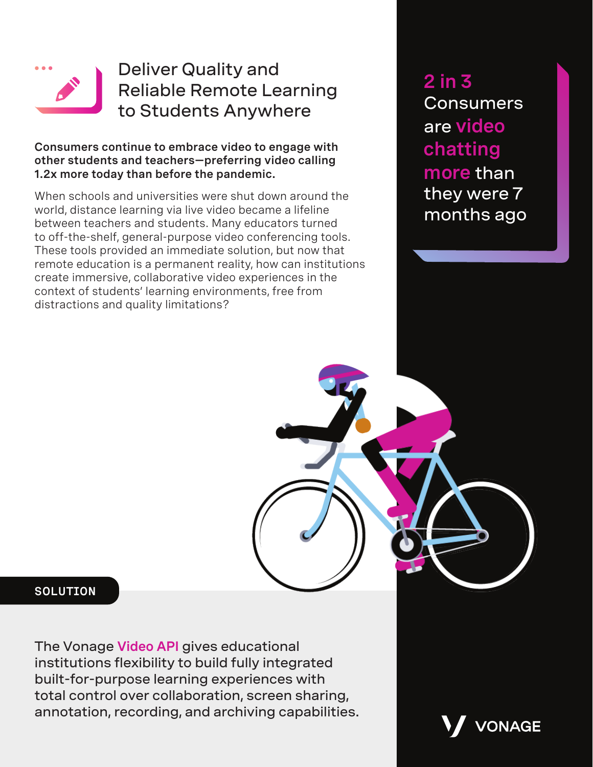

## Deliver Quality and Reliable Remote Learning to Students Anywhere

### **Consumers continue to embrace video to engage with other students and teachers—preferring video calling 1.2x more today than before the pandemic.**

When schools and universities were shut down around the world, distance learning via live video became a lifeline between teachers and students. Many educators turned to off-the-shelf, general-purpose video conferencing tools. These tools provided an immediate solution, but now that remote education is a permanent reality, how can institutions create immersive, collaborative video experiences in the context of students' learning environments, free from distractions and quality limitations?

**2 in 3 Consumers** are **video chatting more** than they were 7 months ago

### **SOLUTION**

The Vonage **[Video API](https://www.vonage.com/communications-apis/video/)** gives educational institutions flexibility to build fully integrated built-for-purpose learning experiences with total control over collaboration, screen sharing, annotation, recording, and archiving capabilities.

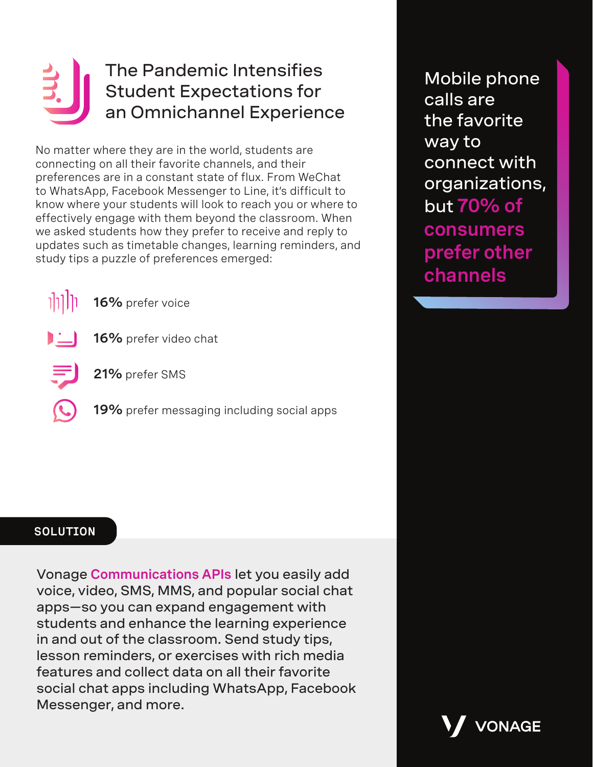## The Pandemic Intensifies Student Expectations for an Omnichannel Experience

No matter where they are in the world, students are connecting on all their favorite channels, and their preferences are in a constant state of flux. From WeChat to WhatsApp, Facebook Messenger to Line, it's difficult to know where your students will look to reach you or where to effectively engage with them beyond the classroom. When we asked students how they prefer to receive and reply to updates such as timetable changes, learning reminders, and study tips a puzzle of preferences emerged:



- **16%** prefer video chat
- 
- **21%** prefer SMS
- **19%** prefer messaging including social apps

Mobile phone calls are the favorite way to connect with organizations, but **70% of consumers prefer other channels**

VONAGE

### **SOLUTION**

Vonage **[Communications APIs](https://www.vonage.com/communications-apis/)** let you easily add voice, video, SMS, MMS, and popular social chat apps—so you can expand engagement with students and enhance the learning experience in and out of the classroom. Send study tips, lesson reminders, or exercises with rich media features and collect data on all their favorite social chat apps including WhatsApp, Facebook Messenger, and more.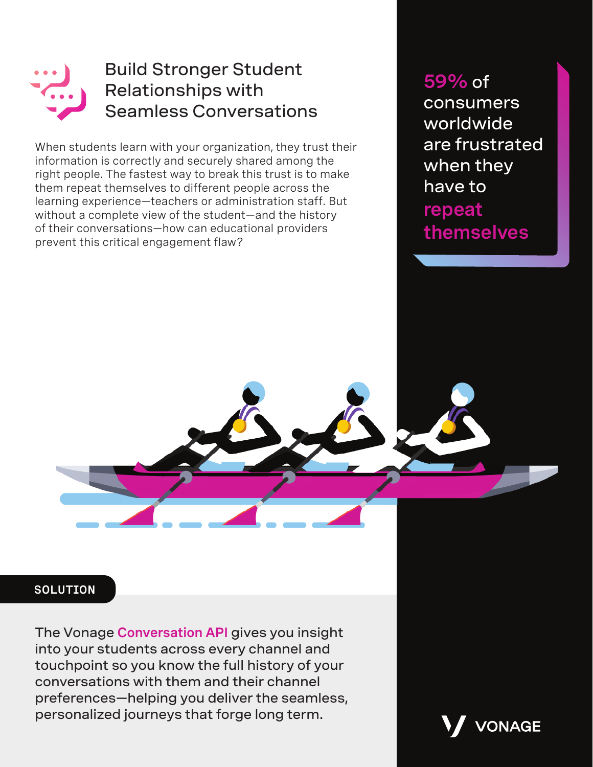

## Build Stronger Student Relationships with Seamless Conversations

When students learn with your organization, they trust their information is correctly and securely shared among the right people. The fastest way to break this trust is to make them repeat themselves to different people across the learning experience—teachers or administration staff. But without a complete view of the student—and the history of their conversations—how can educational providers prevent this critical engagement flaw?

**59%** of consumers worldwide are frustrated when they have to **repeat themselves**

### **SOLUTION**

The Vonage **[Conversation API](https://www.vonage.com/communications-apis/conversation/)** gives you insight into your students across every channel and touchpoint so you know the full history of your conversations with them and their channel preferences—helping you deliver the seamless, personalized journeys that forge long term.

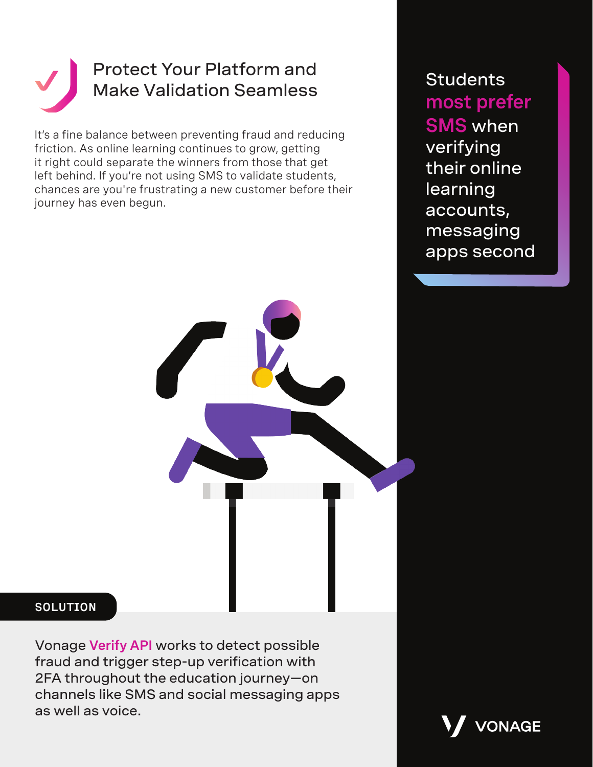

It's a fine balance between preventing fraud and reducing friction. As online learning continues to grow, getting it right could separate the winners from those that get left behind. If you're not using SMS to validate students, chances are you're frustrating a new customer before their journey has even begun.

**Students most prefer SMS** when verifying their online learning accounts, messaging apps second



### **SOLUTION**

Vonage **[Verify API](https://www.vonage.com/communications-apis/verify/)** works to detect possible fraud and trigger step-up verification with 2FA throughout the education journey—on channels like SMS and social messaging apps as well as voice.

**VONAGE**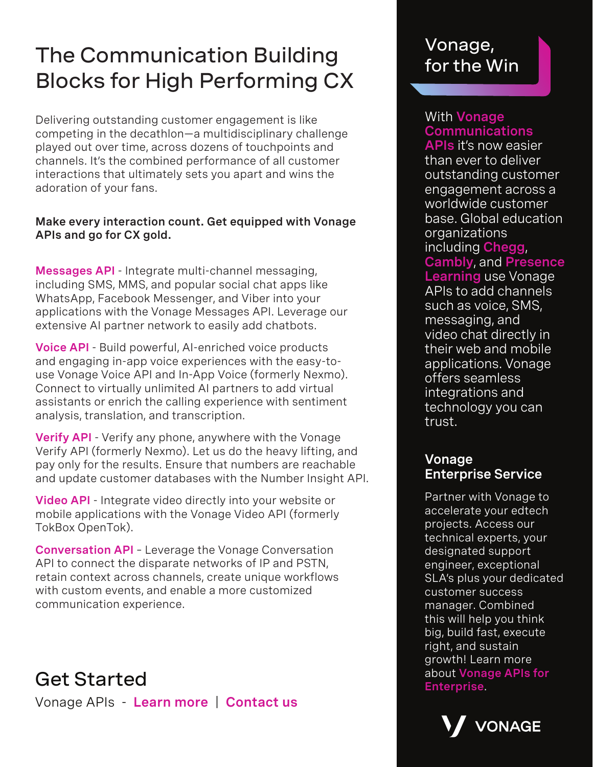## The Communication Building Blocks for High Performing CX

Delivering outstanding customer engagement is like competing in the decathlon—a multidisciplinary challenge played out over time, across dozens of touchpoints and channels. It's the combined performance of all customer interactions that ultimately sets you apart and wins the adoration of your fans.

### **Make every interaction count. Get equipped with Vonage APIs and go for CX gold.**

**[Messages](https://www.vonage.com/communications-apis/messages/) API** - Integrate multi-channel messaging, including SMS, MMS, and popular social chat apps like WhatsApp, Facebook Messenger, and Viber into your applications with the Vonage Messages API. Leverage our extensive AI partner network to easily add chatbots.

**[Voice](https://www.vonage.com/communications-apis/voice/) API** - Build powerful, AI-enriched voice products and engaging in-app voice experiences with the easy-touse Vonage Voice API and In-App Voice (formerly Nexmo). Connect to virtually unlimited AI partners to add virtual assistants or enrich the calling experience with sentiment analysis, translation, and transcription.

**[Verify API]( https://www.vonage.com/communications-apis/verify/)** - Verify any phone, anywhere with the Vonage Verify API (formerly Nexmo). Let us do the heavy lifting, and pay only for the results. Ensure that numbers are reachable and update customer databases with the Number Insight API.

**[Video](https://www.vonage.com/communications-apis/video/) API** - Integrate video directly into your website or mobile applications with the Vonage Video API (formerly TokBox OpenTok).

**[Conversation](https://www.vonage.com/communications-apis/conversation/) API** – Leverage the Vonage Conversation API to connect the disparate networks of IP and PSTN, retain context across channels, create unique workflows with custom events, and enable a more customized communication experience.

about **[Vonage APIs for](https://www.vonage.com/communications-apis/enterprise/)** Get Started **[Enterprise](https://www.vonage.com/communications-apis/enterprise/)**. Vonage APIs - **[Learn more](https://www.vonage.com/communications-apis/)** | **[Contact us](https://www.vonage.com/communications-apis/campaigns/contact-us/)**

## Vonage, for the Win

### With **[Vonage](https://www.vonage.com/communications-apis)  [Communications](https://www.vonage.com/communications-apis)**

**[APIs](https://www.vonage.com/communications-apis)** it's now easier than ever to deliver outstanding customer engagement across a worldwide customer base. Global education organizations including **[Chegg](https://www.vonage.com/resources/customers/chegg/)**, **[Cambly](https://www.vonage.com/resources/customers/cambly-/)**, and **[Presence](https://www.vonage.com/resources/customers/presencelearning/) [Learning](https://www.vonage.com/resources/customers/presencelearning/)** use Vonage APIs to add channels such as voice, SMS, messaging, and video chat directly in their web and mobile applications. Vonage offers seamless

integrations and technology you can trust.

### **Vonage Enterprise Service**

Partner with Vonage to accelerate your edtech projects. Access our technical experts, your designated support engineer, exceptional SLA's plus your dedicated customer success manager. Combined this will help you think big, build fast, execute right, and sustain growth! Learn more